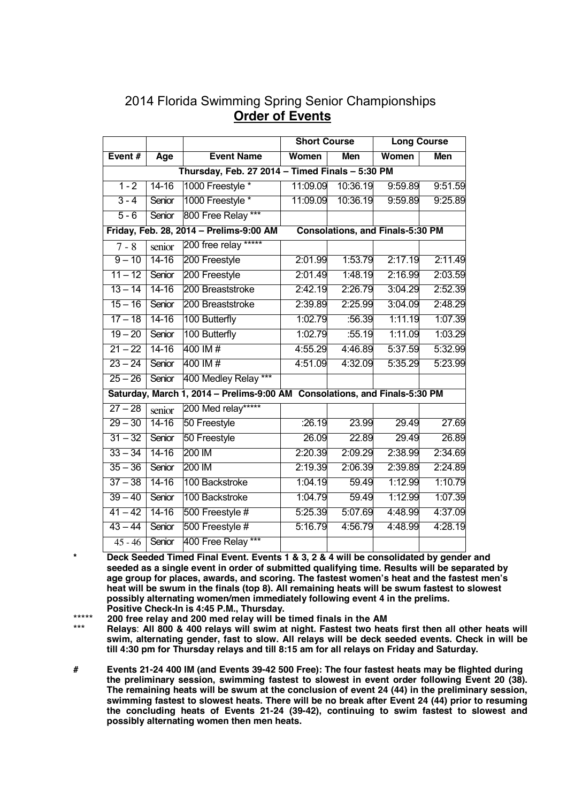| 2014 Florida Swimming Spring Senior Championships |
|---------------------------------------------------|
| <b>Order of Events</b>                            |

|                                                 |           |                                                                            | <b>Short Course</b> |          | <b>Long Course</b>                      |            |  |
|-------------------------------------------------|-----------|----------------------------------------------------------------------------|---------------------|----------|-----------------------------------------|------------|--|
| Event#                                          | Age       | <b>Event Name</b>                                                          | Women               | Men      | Women                                   | <b>Men</b> |  |
| Thursday, Feb. 27 2014 - Timed Finals - 5:30 PM |           |                                                                            |                     |          |                                         |            |  |
| $1 - 2$                                         | $14 - 16$ | 1000 Freestyle *                                                           | 11:09.09            | 10:36.19 | 9:59.89                                 | 9:51.59    |  |
| $3 - 4$                                         | Senior    | 1000 Freestyle *                                                           | 11:09.09            | 10:36.19 | 9:59.89                                 | 9:25.89    |  |
| $5 - 6$                                         | Senior    | 800 Free Relay ***                                                         |                     |          |                                         |            |  |
|                                                 |           | Friday, Feb. 28, 2014 - Prelims-9:00 AM                                    |                     |          | <b>Consolations, and Finals-5:30 PM</b> |            |  |
| $7 - 8$                                         | senior    | 200 free relay *****                                                       |                     |          |                                         |            |  |
| $9 - 10$                                        | $14 - 16$ | 200 Freestyle                                                              | 2:01.99             | 1:53.79  | 2:17.19                                 | 2:11.49    |  |
| $11 - 12$                                       | Senior    | 200 Freestyle                                                              | 2:01.49             | 1:48.19  | 2:16.99                                 | 2:03.59    |  |
| $13 - 14$                                       | $14 - 16$ | 200 Breaststroke                                                           | 2:42.19             | 2:26.79  | 3:04.29                                 | 2:52.39    |  |
| $15 - 16$                                       | Senior    | 200 Breaststroke                                                           | 2:39.89             | 2:25.99  | 3:04.09                                 | 2:48.29    |  |
| $17 - 18$                                       | $14 - 16$ | 100 Butterfly                                                              | 1:02.79             | :56.39   | 1:11.19                                 | 1:07.39    |  |
| $19 - 20$                                       | Senior    | 100 Butterfly                                                              | 1:02.79             | :55.19   | 1:11.09                                 | 1:03.29    |  |
| $21 - 22$                                       | $14 - 16$ | 400 IM #                                                                   | 4:55.29             | 4:46.89  | 5:37.59                                 | 5:32.99    |  |
| $23 - 24$                                       | Senior    | 400 IM #                                                                   | 4:51.09             | 4:32.09  | 5:35.29                                 | 5:23.99    |  |
| $25 - 26$                                       | Senior    | 400 Medley Relay ***                                                       |                     |          |                                         |            |  |
|                                                 |           | Saturday, March 1, 2014 - Prelims-9:00 AM Consolations, and Finals-5:30 PM |                     |          |                                         |            |  |
| $27 - 28$                                       | senior    | 200 Med relay*****                                                         |                     |          |                                         |            |  |
| $29 - 30$                                       | $14 - 16$ | 50 Freestyle                                                               | :26.19              | 23.99    | 29.49                                   | 27.69      |  |
| $31 - 32$                                       | Senior    | 50 Freestyle                                                               | 26.09               | 22.89    | 29.49                                   | 26.89      |  |
| $33 - 34$                                       | $14 - 16$ | 200 IM                                                                     | 2:20.39             | 2:09.29  | 2:38.99                                 | 2:34.69    |  |
| $35 - 36$                                       | Senior    | 200 IM                                                                     | 2:19.39             | 2:06.39  | 2:39.89                                 | 2:24.89    |  |
| $37 - 38$                                       | $14 - 16$ | 100 Backstroke                                                             | 1:04.19             | 59.49    | 1:12.99                                 | 1:10.79    |  |
| $39 - 40$                                       | Senior    | 100 Backstroke                                                             | 1:04.79             | 59.49    | 1:12.99                                 | 1:07.39    |  |
| $41 - 42$                                       | $14 - 16$ | 500 Freestyle #                                                            | 5:25.39             | 5:07.69  | 4:48.99                                 | 4:37.09    |  |
| $43 - 44$                                       | Senior    | 500 Freestyle #                                                            | 5:16.79             | 4:56.79  | 4:48.99                                 | 4:28.19    |  |
| $45 - 46$                                       | Senior    | 400 Free Relay ***                                                         |                     |          |                                         |            |  |

Deck Seeded Timed Final Event. Events 1 & 3, 2 & 4 will be consolidated by gender and **seeded as a single event in order of submitted qualifying time. Results will be separated by age group for places, awards, and scoring. The fastest women's heat and the fastest men's heat will be swum in the finals (top 8). All remaining heats will be swum fastest to slowest possibly alternating women/men immediately following event 4 in the prelims. Positive Check-In is 4:45 P.M., Thursday.**

\*\*\*\*\* **200 free relay and 200 med relay will be timed finals in the AM**

\*\*\* **Relays**: **All 800 & 400 relays will swim at night. Fastest two heats first then all other heats will swim, alternating gender, fast to slow. All relays will be deck seeded events. Check in will be till 4:30 pm for Thursday relays and till 8:15 am for all relays on Friday and Saturday.**

**# Events 21-24 400 IM (and Events 39-42 500 Free): The four fastest heats may be flighted during the preliminary session, swimming fastest to slowest in event order following Event 20 (38). The remaining heats will be swum at the conclusion of event 24 (44) in the preliminary session, swimming fastest to slowest heats. There will be no break after Event 24 (44) prior to resuming the concluding heats of Events 21-24 (39-42), continuing to swim fastest to slowest and possibly alternating women then men heats.**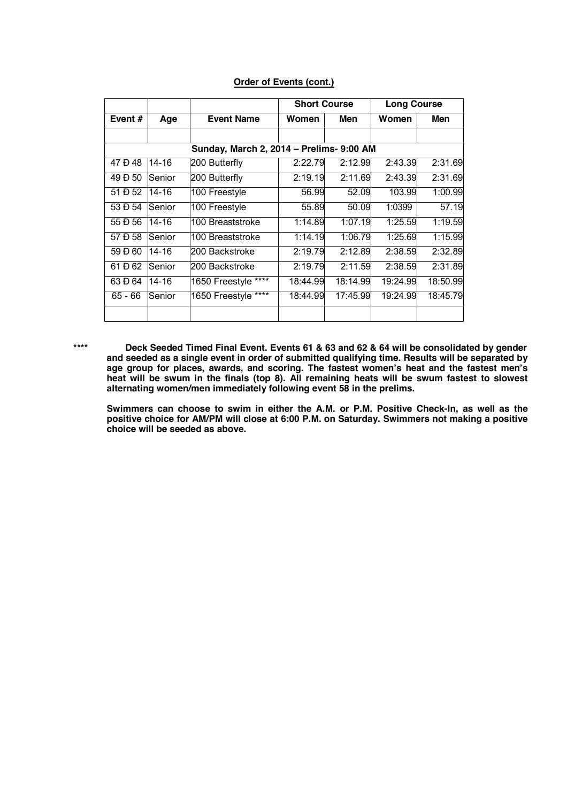|  | <b>Order of Events (cont.)</b> |  |
|--|--------------------------------|--|
|  |                                |  |

|           |               |                                          | <b>Short Course</b> |          | <b>Long Course</b> |          |
|-----------|---------------|------------------------------------------|---------------------|----------|--------------------|----------|
| Event $#$ | Age           | <b>Event Name</b>                        | Women               | Men      | Women              | Men      |
|           |               |                                          |                     |          |                    |          |
|           |               | Sunday, March 2, 2014 - Prelims- 9:00 AM |                     |          |                    |          |
| 47 Đ 48   | $14 - 16$     | 200 Butterfly                            | 2:22.79             | 2:12.99  | 2:43.39            | 2:31.69  |
| 49 Đ 50   | <b>Senior</b> | 200 Butterfly                            | 2:19.19             | 2:11.69  | 2:43.39            | 2:31.69  |
| 51 Đ 52   | 14-16         | 100 Freestyle                            | 56.99               | 52.09    | 103.99             | 1:00.99  |
| 53 Đ 54   | Senior        | 100 Freestyle                            | 55.89               | 50.09    | 1:0399             | 57.19    |
| 55 Đ 56   | 14-16         | 100 Breaststroke                         | 1:14.89             | 1:07.19  | 1:25.59            | 1:19.59  |
| 57 Đ 58   | Senior        | 100 Breaststroke                         | 1:14.19             | 1:06.79  | 1:25.69            | 1:15.99  |
| 59 Đ 60   | 14-16         | 200 Backstroke                           | 2:19.79             | 2:12.89  | 2:38.59            | 2:32.89  |
| 61 Đ 62   | Senior        | 200 Backstroke                           | 2:19.79             | 2:11.59  | 2:38.59            | 2:31.89  |
| 63 Đ 64   | $14 - 16$     | 1650 Freestyle ****                      | 18:44.99            | 18:14.99 | 19:24.99           | 18:50.99 |
| 65 - 66   | <b>Senior</b> | 1650 Freestyle ****                      | 18:44.99            | 17:45.99 | 19:24.99           | 18:45.79 |
|           |               |                                          |                     |          |                    |          |

**\*\*\*\* Deck Seeded Timed Final Event. Events 61 & 63 and 62 & 64 will be consolidated by gender and seeded as a single event in order of submitted qualifying time. Results will be separated by age group for places, awards, and scoring. The fastest women's heat and the fastest men's heat will be swum in the finals (top 8). All remaining heats will be swum fastest to slowest alternating women/men immediately following event 58 in the prelims.**

**Swimmers can choose to swim in either the A.M. or P.M. Positive Check-In, as well as the positive choice for AM/PM will close at 6:00 P.M. on Saturday. Swimmers not making a positive choice will be seeded as above.**